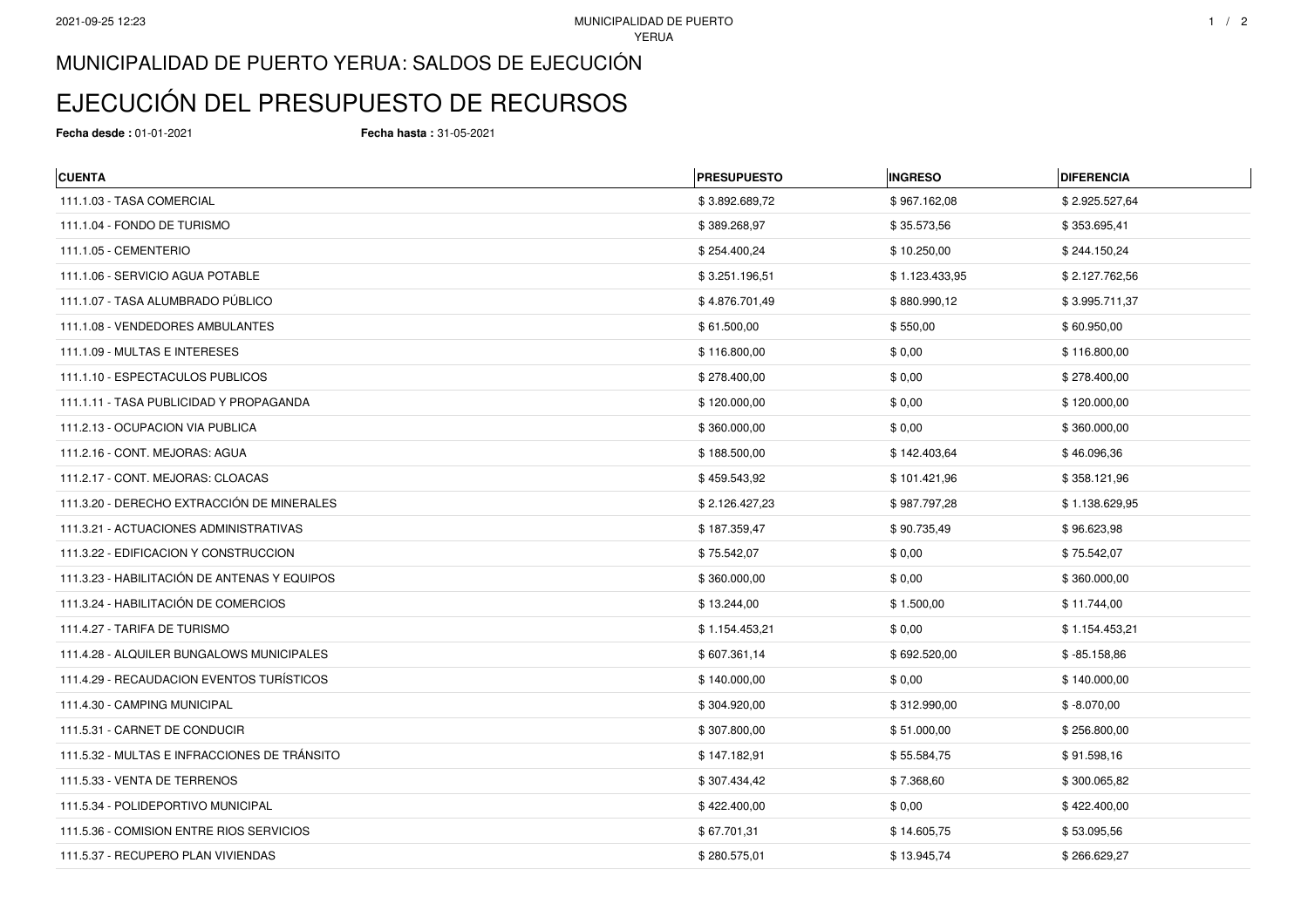## MUNICIPALIDAD DE PUERTO YERUA: SALDOS DE EJECUCIÓN

## EJECUCIÓN DEL PRESUPUESTO DE RECURSOS

**Fecha desde :** 01-01-2021 **Fecha hasta :** 31-05-2021

| <b>CUENTA</b>                                | <b>PRESUPUESTO</b> | <b>INGRESO</b> | <b>DIFERENCIA</b> |
|----------------------------------------------|--------------------|----------------|-------------------|
| 111.1.03 - TASA COMERCIAL                    | \$3.892.689,72     | \$967.162,08   | \$2.925.527,64    |
| 111.1.04 - FONDO DE TURISMO                  | \$389.268,97       | \$35.573,56    | \$353.695,41      |
| 111.1.05 - CEMENTERIO                        | \$254.400,24       | \$10.250,00    | \$244.150,24      |
| 111.1.06 - SERVICIO AGUA POTABLE             | \$3.251.196,51     | \$1.123.433,95 | \$2.127.762,56    |
| 111.1.07 - TASA ALUMBRADO PÚBLICO            | \$4.876.701,49     | \$880.990,12   | \$3.995.711,37    |
| 111.1.08 - VENDEDORES AMBULANTES             | \$61.500,00        | \$550,00       | \$60.950,00       |
| 111.1.09 - MULTAS E INTERESES                | \$116.800,00       | \$0,00         | \$116.800,00      |
| 111.1.10 - ESPECTACULOS PUBLICOS             | \$278.400,00       | \$0,00         | \$278.400,00      |
| 111.1.11 - TASA PUBLICIDAD Y PROPAGANDA      | \$120.000,00       | \$0,00         | \$120.000,00      |
| 111.2.13 - OCUPACION VIA PUBLICA             | \$360.000,00       | \$0,00         | \$360.000,00      |
| 111.2.16 - CONT. MEJORAS: AGUA               | \$188.500,00       | \$142.403,64   | \$46.096,36       |
| 111.2.17 - CONT. MEJORAS: CLOACAS            | \$459.543,92       | \$101.421,96   | \$358.121,96      |
| 111.3.20 - DERECHO EXTRACCIÓN DE MINERALES   | \$2.126.427,23     | \$987.797,28   | \$1.138.629,95    |
| 111.3.21 - ACTUACIONES ADMINISTRATIVAS       | \$187.359,47       | \$90.735,49    | \$96.623,98       |
| 111.3.22 - EDIFICACION Y CONSTRUCCION        | \$75.542,07        | \$0,00         | \$75.542,07       |
| 111.3.23 - HABILITACIÓN DE ANTENAS Y EQUIPOS | \$360.000,00       | \$0,00         | \$360.000,00      |
| 111.3.24 - HABILITACIÓN DE COMERCIOS         | \$13.244,00        | \$1.500,00     | \$11.744,00       |
| 111.4.27 - TARIFA DE TURISMO                 | \$1.154.453,21     | \$0,00         | \$1.154.453,21    |
| 111.4.28 - ALQUILER BUNGALOWS MUNICIPALES    | \$607.361,14       | \$692.520,00   | $$ -85.158.86$    |
| 111.4.29 - RECAUDACION EVENTOS TURÍSTICOS    | \$140.000,00       | \$0,00         | \$140.000,00      |
| 111.4.30 - CAMPING MUNICIPAL                 | \$304.920,00       | \$312.990,00   | $$ -8.070,00$     |
| 111.5.31 - CARNET DE CONDUCIR                | \$307.800,00       | \$51.000,00    | \$256.800,00      |
| 111.5.32 - MULTAS E INFRACCIONES DE TRÁNSITO | \$147.182,91       | \$55.584,75    | \$91.598,16       |
| 111.5.33 - VENTA DE TERRENOS                 | \$307.434,42       | \$7.368,60     | \$300.065,82      |
| 111.5.34 - POLIDEPORTIVO MUNICIPAL           | \$422.400,00       | \$0,00         | \$422.400,00      |
| 111.5.36 - COMISION ENTRE RIOS SERVICIOS     | \$67.701,31        | \$14.605,75    | \$53.095,56       |
| 111.5.37 - RECUPERO PLAN VIVIENDAS           | \$280.575,01       | \$13.945,74    | \$266.629,27      |